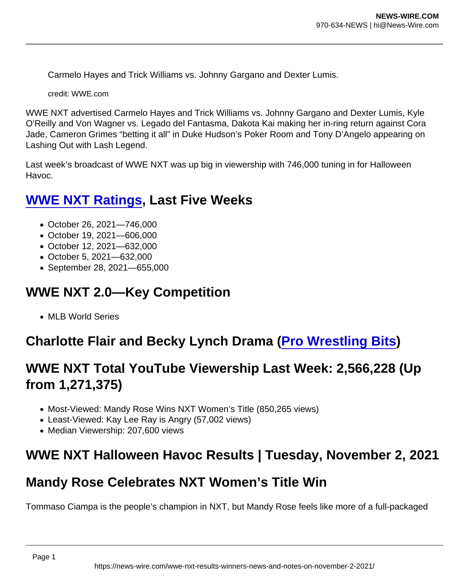Carmelo Hayes and Trick Williams vs. Johnny Gargano and Dexter Lumis.

credit: WWE.com

WWE NXT advertised Carmelo Hayes and Trick Williams vs. Johnny Gargano and Dexter Lumis, Kyle O'Reilly and Von Wagner vs. Legado del Fantasma, Dakota Kai making her in-ring return against Cora Jade, Cameron Grimes "betting it all" in Duke Hudson's Poker Room and Tony D'Angelo appearing on Lashing Out with Lash Legend.

Last week's broadcast of WWE NXT was up big in viewership with 746,000 tuning in for Halloween Havoc.

## [WWE NXT Ratings](https://www.wrestlinginc.com/news/2021/10/wwe-nxt-halloween-havoc-viewership-and-key-demo-rating/) , Last Five Weeks

- October 26, 2021—746,000
- October 19, 2021—606,000
- October 12, 2021—632,000
- October 5, 2021—632,000
- September 28, 2021—655,000

### WWE NXT 2.0—Key Competition

• MLB World Series

Charlotte Flair and Becky Lynch Drama ( [Pro Wrestling Bits](https://www.youtube.com/watch?v=XbDi3VIHxzE&t) )

### WWE NXT Total YouTube Viewership Last Week: 2,566,228 (Up from 1,271,375)

- Most-Viewed: Mandy Rose Wins NXT Women's Title (850,265 views)
- Least-Viewed: Kay Lee Ray is Angry (57,002 views)
- Median Viewership: 207,600 views

### WWE NXT Halloween Havoc Results | Tuesday, November 2, 2021

#### Mandy Rose Celebrates NXT Women's Title Win

Tommaso Ciampa is the people's champion in NXT, but Mandy Rose feels like more of a full-packaged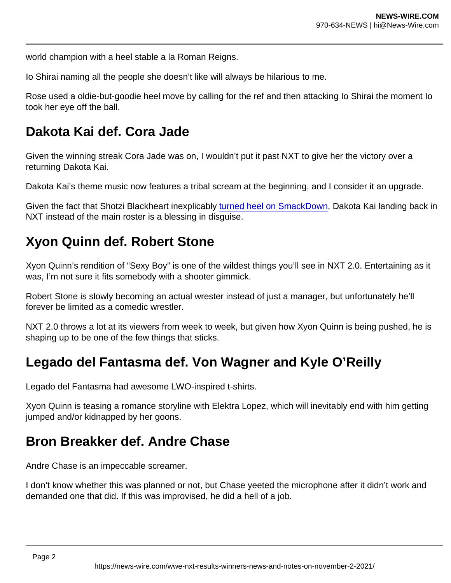world champion with a heel stable a la Roman Reigns.

Io Shirai naming all the people she doesn't like will always be hilarious to me.

Rose used a oldie-but-goodie heel move by calling for the ref and then attacking Io Shirai the moment Io took her eye off the ball.

### Dakota Kai def. Cora Jade

Given the winning streak Cora Jade was on, I wouldn't put it past NXT to give her the victory over a returning Dakota Kai.

Dakota Kai's theme music now features a tribal scream at the beginning, and I consider it an upgrade.

Given the fact that Shotzi Blackheart inexplicably [turned heel on SmackDown](https://www.forbes.com/sites/alfredkonuwa/2021/10/29/wwe-smackdown-results-winners-news-and-notes-on-october-29-2021/), Dakota Kai landing back in NXT instead of the main roster is a blessing in disguise.

### Xyon Quinn def. Robert Stone

Xyon Quinn's rendition of "Sexy Boy" is one of the wildest things you'll see in NXT 2.0. Entertaining as it was, I'm not sure it fits somebody with a shooter gimmick.

Robert Stone is slowly becoming an actual wrester instead of just a manager, but unfortunately he'll forever be limited as a comedic wrestler.

NXT 2.0 throws a lot at its viewers from week to week, but given how Xyon Quinn is being pushed, he is shaping up to be one of the few things that sticks.

### Legado del Fantasma def. Von Wagner and Kyle O'Reilly

Legado del Fantasma had awesome LWO-inspired t-shirts.

Xyon Quinn is teasing a romance storyline with Elektra Lopez, which will inevitably end with him getting jumped and/or kidnapped by her goons.

#### Bron Breakker def. Andre Chase

Andre Chase is an impeccable screamer.

I don't know whether this was planned or not, but Chase yeeted the microphone after it didn't work and demanded one that did. If this was improvised, he did a hell of a job.